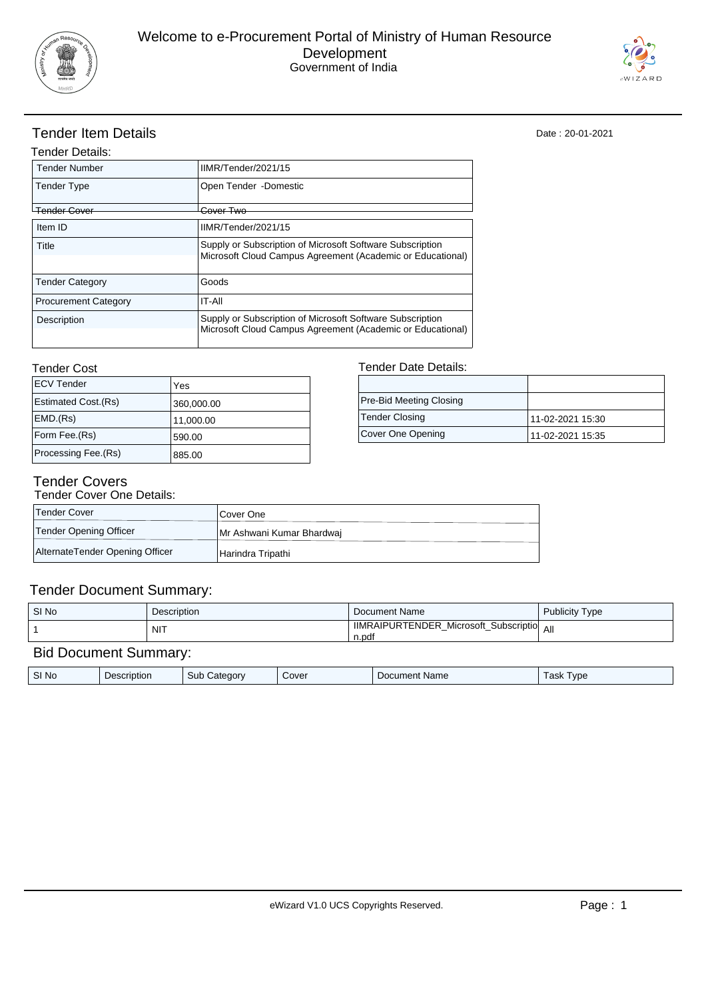



# Tender Item Details

| Tender Details:             |                                                                                                                         |  |  |
|-----------------------------|-------------------------------------------------------------------------------------------------------------------------|--|--|
| <b>Tender Number</b>        | IIMR/Tender/2021/15                                                                                                     |  |  |
| <b>Tender Type</b>          | Open Tender -Domestic                                                                                                   |  |  |
| <del>' Tender Cover</del>   | <del>Cover Two</del>                                                                                                    |  |  |
| Item ID                     | IIMR/Tender/2021/15                                                                                                     |  |  |
| Title                       | Supply or Subscription of Microsoft Software Subscription<br>Microsoft Cloud Campus Agreement (Academic or Educational) |  |  |
| <b>Tender Category</b>      | Goods                                                                                                                   |  |  |
| <b>Procurement Category</b> | <b>IT-All</b>                                                                                                           |  |  |
| Description                 | Supply or Subscription of Microsoft Software Subscription<br>Microsoft Cloud Campus Agreement (Academic or Educational) |  |  |

#### Tender Cost

| <b>ECV Tender</b>   | Yes        |
|---------------------|------------|
| Estimated Cost.(Rs) | 360,000.00 |
| EMD.(Rs)            | 11,000.00  |
| Form Fee.(Rs)       | 590.00     |
| Processing Fee.(Rs) | 885.00     |

#### Tender Date Details:

| Pre-Bid Meeting Closing |                  |
|-------------------------|------------------|
| Tender Closing          | 11-02-2021 15:30 |
| Cover One Opening       | 11-02-2021 15:35 |

# Tender Covers

Tender Cover One Details:

| TUNGU OUTU UNU DUGINI.          |                           |  |  |  |
|---------------------------------|---------------------------|--|--|--|
| Tender Cover                    | l Cover One               |  |  |  |
| Tender Opening Officer          | Mr Ashwani Kumar Bhardwaj |  |  |  |
| AlternateTender Opening Officer | Harindra Tripathi         |  |  |  |

### Tender Document Summary:

| IIMRAIPURTENDER_Microsoft_Subscriptio All<br>N <sub>1</sub><br>n.pdf | SI No | <b>Description</b> | Document Name | <b>Publicity Type</b> |
|----------------------------------------------------------------------|-------|--------------------|---------------|-----------------------|
|                                                                      |       |                    |               |                       |

### Bid Document Summary:

| SI No | Description | Sut<br>Category | Cover | <sup>.</sup> Name<br><b>Document</b> | ask<br>l vpe |
|-------|-------------|-----------------|-------|--------------------------------------|--------------|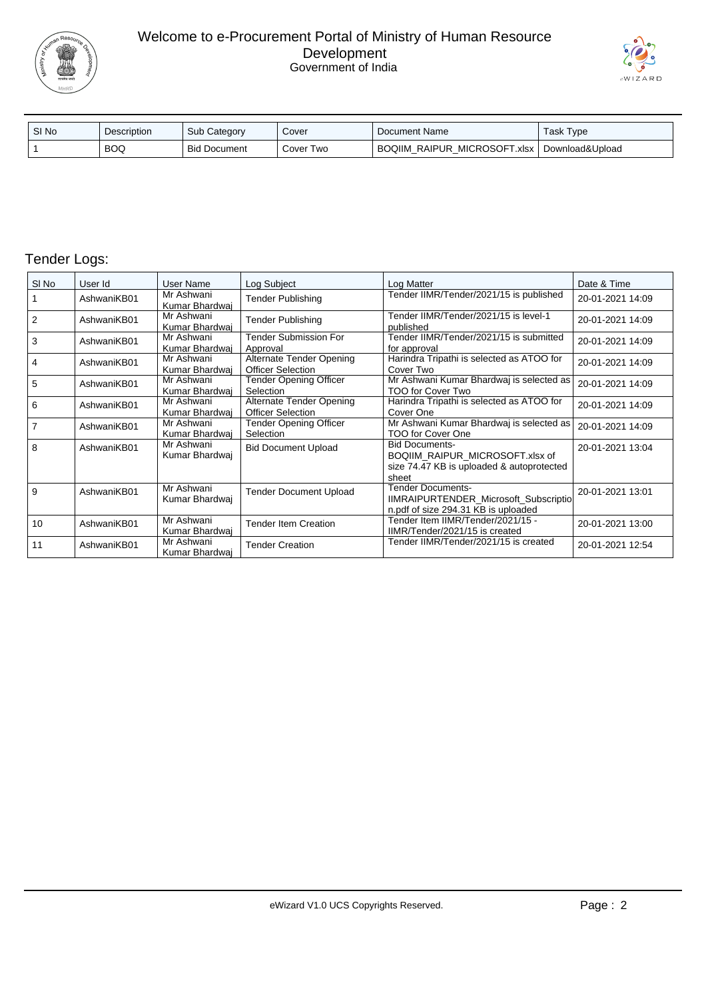

#### Welcome to e-Procurement Portal of Ministry of Human Resource Development Government of India



| SI No | Description | <b>Sub Category</b> | Cover     | Document Name                   | Task Type         |
|-------|-------------|---------------------|-----------|---------------------------------|-------------------|
|       | <b>BOQ</b>  | <b>Bid Document</b> | Cover Two | RAIPUR MICROSOFT.xlsx<br>BOQIIM | I Download&Upload |

# Tender Logs:

| SI <sub>No</sub> | User Id     | User Name                    | Log Subject                                                 | Log Matter                                                                                                      | Date & Time      |
|------------------|-------------|------------------------------|-------------------------------------------------------------|-----------------------------------------------------------------------------------------------------------------|------------------|
|                  | AshwaniKB01 | Mr Ashwani<br>Kumar Bhardwai | <b>Tender Publishing</b>                                    | Tender IIMR/Tender/2021/15 is published                                                                         | 20-01-2021 14:09 |
| 2                | AshwaniKB01 | Mr Ashwani<br>Kumar Bhardwai | <b>Tender Publishing</b>                                    | Tender IIMR/Tender/2021/15 is level-1<br>published                                                              | 20-01-2021 14:09 |
| 3                | AshwaniKB01 | Mr Ashwani<br>Kumar Bhardwai | <b>Tender Submission For</b><br>Approval                    | Tender IIMR/Tender/2021/15 is submitted<br>for approval                                                         | 20-01-2021 14:09 |
| 4                | AshwaniKB01 | Mr Ashwani<br>Kumar Bhardwai | Alternate Tender Opening<br><b>Officer Selection</b>        | Harindra Tripathi is selected as ATOO for<br>Cover Two                                                          | 20-01-2021 14:09 |
| 5                | AshwaniKB01 | Mr Ashwani<br>Kumar Bhardwaj | <b>Tender Opening Officer</b><br>Selection                  | Mr Ashwani Kumar Bhardwaj is selected as<br><b>TOO for Cover Two</b>                                            | 20-01-2021 14:09 |
| 6                | AshwaniKB01 | Mr Ashwani<br>Kumar Bhardwai | <b>Alternate Tender Opening</b><br><b>Officer Selection</b> | Harindra Tripathi is selected as ATOO for<br>Cover One                                                          | 20-01-2021 14:09 |
| 7                | AshwaniKB01 | Mr Ashwani<br>Kumar Bhardwai | <b>Tender Opening Officer</b><br>Selection                  | Mr Ashwani Kumar Bhardwaj is selected as<br>TOO for Cover One                                                   | 20-01-2021 14:09 |
| 8                | AshwaniKB01 | Mr Ashwani<br>Kumar Bhardwaj | <b>Bid Document Upload</b>                                  | <b>Bid Documents-</b><br>BOQIIM RAIPUR MICROSOFT.xlsx of<br>size 74.47 KB is uploaded & autoprotected<br>sheet  | 20-01-2021 13:04 |
| 9                | AshwaniKB01 | Mr Ashwani<br>Kumar Bhardwaj | <b>Tender Document Upload</b>                               | <b>Tender Documents-</b><br><b>IIMRAIPURTENDER Microsoft Subscriptio</b><br>n.pdf of size 294.31 KB is uploaded | 20-01-2021 13:01 |
| 10               | AshwaniKB01 | Mr Ashwani<br>Kumar Bhardwai | <b>Tender Item Creation</b>                                 | Tender Item IIMR/Tender/2021/15 -<br>IIMR/Tender/2021/15 is created                                             | 20-01-2021 13:00 |
| 11               | AshwaniKB01 | Mr Ashwani<br>Kumar Bhardwai | <b>Tender Creation</b>                                      | Tender IIMR/Tender/2021/15 is created                                                                           | 20-01-2021 12:54 |